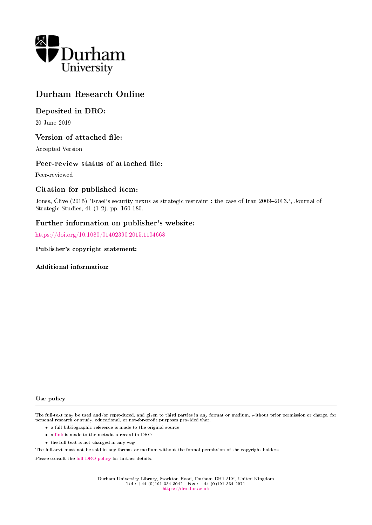

# Durham Research Online

# Deposited in DRO:

20 June 2019

# Version of attached file:

Accepted Version

## Peer-review status of attached file:

Peer-reviewed

# Citation for published item:

Jones, Clive (2015) 'Israel's security nexus as strategic restraint : the case of Iran 2009–2013.', Journal of Strategic Studies, 41 (1-2). pp. 160-180.

# Further information on publisher's website:

<https://doi.org/10.1080/01402390.2015.1104668>

Publisher's copyright statement:

Additional information:

#### Use policy

The full-text may be used and/or reproduced, and given to third parties in any format or medium, without prior permission or charge, for personal research or study, educational, or not-for-profit purposes provided that:

- a full bibliographic reference is made to the original source
- a [link](http://dro.dur.ac.uk/28488/) is made to the metadata record in DRO
- the full-text is not changed in any way

The full-text must not be sold in any format or medium without the formal permission of the copyright holders.

Please consult the [full DRO policy](https://dro.dur.ac.uk/policies/usepolicy.pdf) for further details.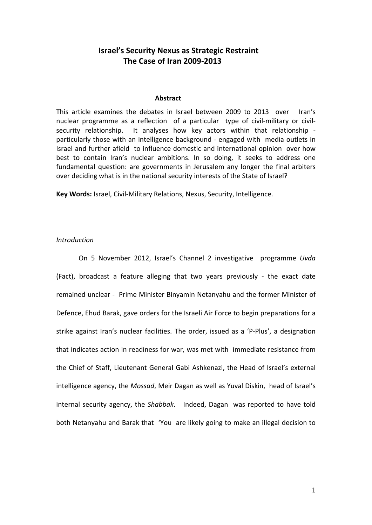# **Israel's Security Nexus as Strategic Restraint The Case of Iran 2009-2013**

#### **Abstract**

This article examines the debates in Israel between 2009 to 2013 over Iran's nuclear programme as a reflection of a particular type of civil-military or civilsecurity relationship. It analyses how key actors within that relationship particularly those with an intelligence background - engaged with media outlets in Israel and further afield to influence domestic and international opinion over how best to contain Iran's nuclear ambitions. In so doing, it seeks to address one fundamental question: are governments in Jerusalem any longer the final arbiters over deciding what is in the national security interests of the State of Israel?

**Key Words:** Israel, Civil-Military Relations, Nexus, Security, Intelligence.

### *Introduction*

On 5 November 2012, Israel's Channel 2 investigative programme *Uvda* (Fact), broadcast a feature alleging that two years previously - the exact date remained unclear - Prime Minister Binyamin Netanyahu and the former Minister of Defence, Ehud Barak, gave orders for the Israeli Air Force to begin preparations for a strike against Iran's nuclear facilities. The order, issued as a 'P-Plus', a designation that indicates action in readiness for war, was met with immediate resistance from the Chief of Staff, Lieutenant General Gabi Ashkenazi, the Head of Israel's external intelligence agency, the *Mossad*, Meir Dagan as well as Yuval Diskin, head of Israel's internal security agency, the *Shabbak*. Indeed, Dagan was reported to have told both Netanyahu and Barak that 'You are likely going to make an illegal decision to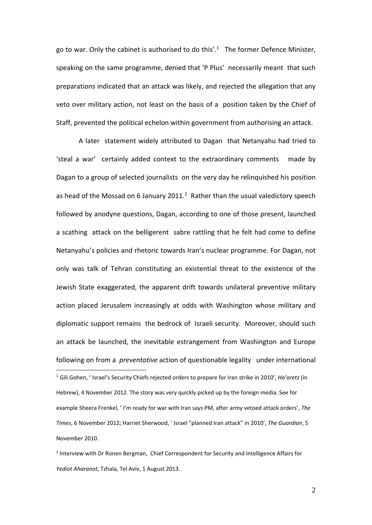go to war. Only the cabinet is authorised to do this'.<sup>1</sup> The former Defence Minister, speaking on the same programme, denied that 'P Plus' necessarily meant that such preparations indicated that an attack was likely, and rejected the allegation that any veto over military action, not least on the basis of a position taken by the Chief of Staff, prevented the political echelon within government from authorising an attack.

A later statement widely attributed to Dagan that Netanyahu had tried to 'steal a war' certainly added context to the extraordinary comments made by Dagan to a group of selected journalists on the very day he relinquished his position as head of the Mossad on 6 January 2011.<sup>2</sup> Rather than the usual valedictory speech followed by anodyne questions, Dagan, according to one of those present, launched a scathing attack on the belligerent sabre rattling that he felt had come to define Netanyahu's policies and rhetoric towards Iran's nuclear programme. For Dagan, not only was talk of Tehran constituting an existential threat to the existence of the Jewish State exaggerated, the apparent drift towards unilateral preventive military action placed Jerusalem increasingly at odds with Washington whose military and diplomatic support remains the bedrock of Israeli security. Moreover, should such an attack be launched, the inevitable estrangement from Washington and Europe following on from a *preventative* action of questionable legality under international -<sup>1</sup> Gili Gohen, ' Israel's Security Chiefs rejected orders to prepare for Iran strike in 2010', *Ha'aretz* (in Hebrew), 4 November 2012. The story was very quickly picked up by the foreign media. See for example Sheera Frenkel, ' I'm ready for war with Iran says PM, after army vetoed attack orders', *The Times*, 6 November 2012; Harriet Sherwood, ' Israel "planned Iran attack" in 2010', *The Guardian*, 5 November 2010.

<sup>2</sup> Interview with Dr Ronen Bergman, Chief Correspondent for Security and Intelligence Affairs for *Yediot Aharanot*, Tzhala, Tel Aviv, 1 August 2013.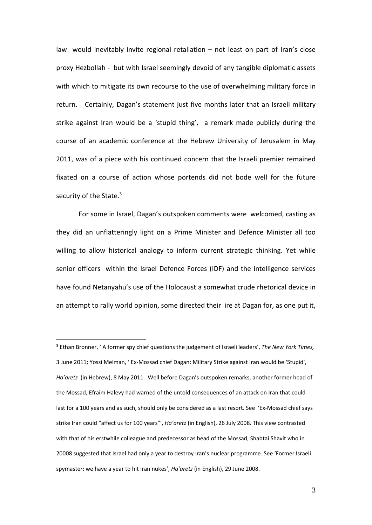law would inevitably invite regional retaliation – not least on part of Iran's close proxy Hezbollah - but with Israel seemingly devoid of any tangible diplomatic assets with which to mitigate its own recourse to the use of overwhelming military force in return. Certainly, Dagan's statement just five months later that an Israeli military strike against Iran would be a 'stupid thing', a remark made publicly during the course of an academic conference at the Hebrew University of Jerusalem in May 2011, was of a piece with his continued concern that the Israeli premier remained fixated on a course of action whose portends did not bode well for the future security of the State.<sup>3</sup>

For some in Israel, Dagan's outspoken comments were welcomed, casting as they did an unflatteringly light on a Prime Minister and Defence Minister all too willing to allow historical analogy to inform current strategic thinking. Yet while senior officers within the Israel Defence Forces (IDF) and the intelligence services have found Netanyahu's use of the Holocaust a somewhat crude rhetorical device in an attempt to rally world opinion, some directed their ire at Dagan for, as one put it,

<u>.</u>

<sup>3</sup> Ethan Bronner, ' A former spy chief questions the judgement of Israeli leaders', *The New York Times,*  3 June 2011; Yossi Melman, ' Ex-Mossad chief Dagan: Military Strike against Iran would be 'Stupid', *Ha'aretz* (in Hebrew), 8 May 2011. Well before Dagan's outspoken remarks, another former head of the Mossad, Efraim Halevy had warned of the untold consequences of an attack on Iran that could last for a 100 years and as such, should only be considered as a last resort. See 'Ex-Mossad chief says strike Iran could "affect us for 100 years"', *Ha'aretz* (in English), 26 July 2008. This view contrasted with that of his erstwhile colleague and predecessor as head of the Mossad, Shabtai Shavit who in 20008 suggested that Israel had only a year to destroy Iran's nuclear programme. See 'Former Israeli spymaster: we have a year to hit Iran nukes', *Ha'aretz* (in English), 29 June 2008.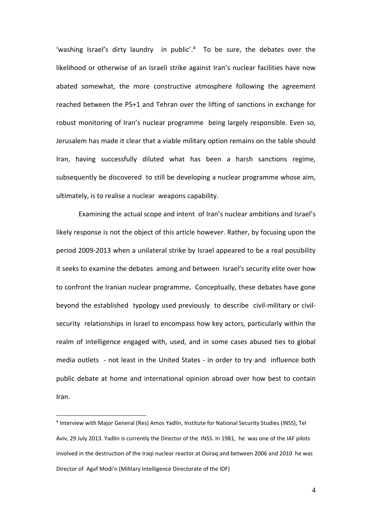'washing Israel's dirty laundry in public'. $4$  To be sure, the debates over the likelihood or otherwise of an Israeli strike against Iran's nuclear facilities have now abated somewhat, the more constructive atmosphere following the agreement reached between the P5+1 and Tehran over the lifting of sanctions in exchange for robust monitoring of Iran's nuclear programme being largely responsible. Even so, Jerusalem has made it clear that a viable military option remains on the table should Iran, having successfully diluted what has been a harsh sanctions regime, subsequently be discovered to still be developing a nuclear programme whose aim, ultimately, is to realise a nuclear weapons capability.

Examining the actual scope and intent of Iran's nuclear ambitions and Israel's likely response is not the object of this article however. Rather, by focusing upon the period 2009-2013 when a unilateral strike by Israel appeared to be a real possibility it seeks to examine the debates among and between Israel's security elite over how to confront the Iranian nuclear programme**.** Conceptually, these debates have gone beyond the established typology used previously to describe civil-military or civilsecurity relationships in Israel to encompass how key actors, particularly within the realm of intelligence engaged with, used, and in some cases abused ties to global media outlets - not least in the United States - in order to try and influence both public debate at home and international opinion abroad over how best to contain Iran.

<u>.</u>

<sup>4</sup> Interview with Major General (Res) Amos Yadlin, Institute for National Security Studies (INSS), Tel Aviv, 29 July 2013. Yadlin is currently the Director of the INSS. In 1981, he was one of the IAF pilots involved in the destruction of the Iraqi nuclear reactor at Osiraq and between 2006 and 2010 he was Director of Agaf Modi'n (Military Intelligence Directorate of the IDF)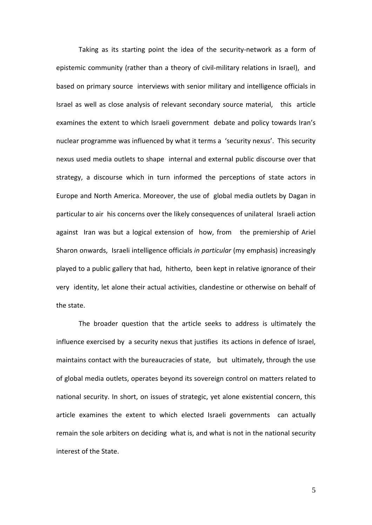Taking as its starting point the idea of the security-network as a form of epistemic community (rather than a theory of civil-military relations in Israel), and based on primary source interviews with senior military and intelligence officials in Israel as well as close analysis of relevant secondary source material, this article examines the extent to which Israeli government debate and policy towards Iran's nuclear programme was influenced by what it terms a 'security nexus'. This security nexus used media outlets to shape internal and external public discourse over that strategy, a discourse which in turn informed the perceptions of state actors in Europe and North America. Moreover, the use of global media outlets by Dagan in particular to air his concerns over the likely consequences of unilateral Israeli action against Iran was but a logical extension of how, from the premiership of Ariel Sharon onwards, Israeli intelligence officials *in particular* (my emphasis) increasingly played to a public gallery that had, hitherto, been kept in relative ignorance of their very identity, let alone their actual activities, clandestine or otherwise on behalf of the state.

The broader question that the article seeks to address is ultimately the influence exercised by a security nexus that justifies its actions in defence of Israel, maintains contact with the bureaucracies of state, but ultimately, through the use of global media outlets, operates beyond its sovereign control on matters related to national security. In short, on issues of strategic, yet alone existential concern, this article examines the extent to which elected Israeli governments can actually remain the sole arbiters on deciding what is, and what is not in the national security interest of the State.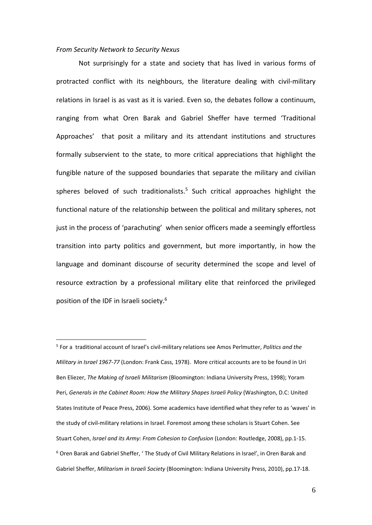### *From Security Network to Security Nexus*

<u>.</u>

Not surprisingly for a state and society that has lived in various forms of protracted conflict with its neighbours, the literature dealing with civil-military relations in Israel is as vast as it is varied. Even so, the debates follow a continuum, ranging from what Oren Barak and Gabriel Sheffer have termed 'Traditional Approaches' that posit a military and its attendant institutions and structures formally subservient to the state, to more critical appreciations that highlight the fungible nature of the supposed boundaries that separate the military and civilian spheres beloved of such traditionalists.<sup>5</sup> Such critical approaches highlight the functional nature of the relationship between the political and military spheres, not just in the process of 'parachuting' when senior officers made a seemingly effortless transition into party politics and government, but more importantly, in how the language and dominant discourse of security determined the scope and level of resource extraction by a professional military elite that reinforced the privileged position of the IDF in Israeli society.6

<sup>5</sup> For a traditional account of Israel's civil-military relations see Amos Perlmutter, *Politics and the Military in Israel 1967-77* (London: Frank Cass, 1978). More critical accounts are to be found in Uri Ben Eliezer, *The Making of Israeli Militarism* (Bloomington: Indiana University Press, 1998); Yoram Peri, *Generals in the Cabinet Room: How the Military Shapes Israeli Policy* (Washington, D.C: United States Institute of Peace Press, 2006). Some academics have identified what they refer to as 'waves' in the study of civil-military relations in Israel. Foremost among these scholars is Stuart Cohen. See Stuart Cohen, *Israel and its Army: From Cohesion to Confusion* (London: Routledge, 2008), pp.1-15. <sup>6</sup> Oren Barak and Gabriel Sheffer, ' The Study of Civil Military Relations in Israel', in Oren Barak and Gabriel Sheffer, *Militarism in Israeli Society* (Bloomington: Indiana University Press, 2010), pp.17-18.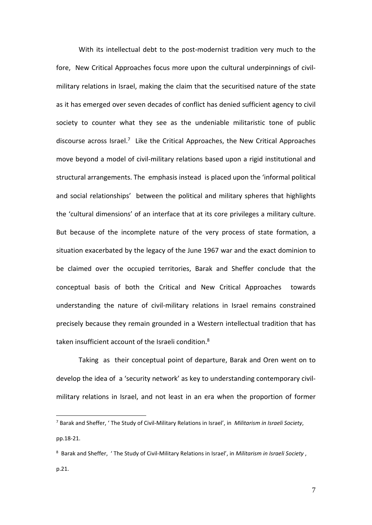With its intellectual debt to the post-modernist tradition very much to the fore, New Critical Approaches focus more upon the cultural underpinnings of civilmilitary relations in Israel, making the claim that the securitised nature of the state as it has emerged over seven decades of conflict has denied sufficient agency to civil society to counter what they see as the undeniable militaristic tone of public discourse across Israel.<sup>7</sup> Like the Critical Approaches, the New Critical Approaches move beyond a model of civil-military relations based upon a rigid institutional and structural arrangements. The emphasis instead is placed upon the 'informal political and social relationships' between the political and military spheres that highlights the 'cultural dimensions' of an interface that at its core privileges a military culture. But because of the incomplete nature of the very process of state formation, a situation exacerbated by the legacy of the June 1967 war and the exact dominion to be claimed over the occupied territories, Barak and Sheffer conclude that the conceptual basis of both the Critical and New Critical Approaches towards understanding the nature of civil-military relations in Israel remains constrained precisely because they remain grounded in a Western intellectual tradition that has taken insufficient account of the Israeli condition.<sup>8</sup>

Taking as their conceptual point of departure, Barak and Oren went on to develop the idea of a 'security network' as key to understanding contemporary civilmilitary relations in Israel, and not least in an era when the proportion of former

<sup>7</sup> Barak and Sheffer, ' The Study of Civil-Military Relations in Israel', in *Militarism in Israeli Society*, pp.18-21.

<sup>8</sup> Barak and Sheffer, ' The Study of Civil-Military Relations in Israel', in *Militarism in Israeli Society* , p.21.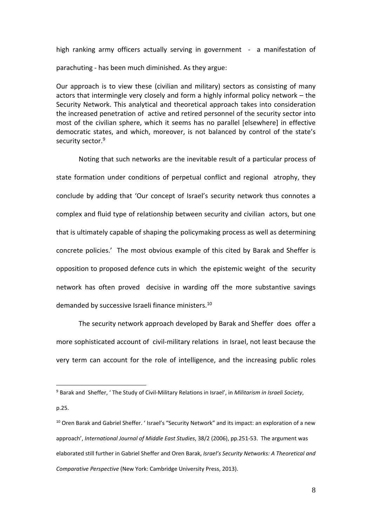high ranking army officers actually serving in government - a manifestation of parachuting - has been much diminished. As they argue:

Our approach is to view these (civilian and military) sectors as consisting of many actors that intermingle very closely and form a highly informal policy network – the Security Network. This analytical and theoretical approach takes into consideration the increased penetration of active and retired personnel of the security sector into most of the civilian sphere, which it seems has no parallel [elsewhere] in effective democratic states, and which, moreover, is not balanced by control of the state's security sector.<sup>9</sup>

Noting that such networks are the inevitable result of a particular process of state formation under conditions of perpetual conflict and regional atrophy, they conclude by adding that 'Our concept of Israel's security network thus connotes a complex and fluid type of relationship between security and civilian actors, but one that is ultimately capable of shaping the policymaking process as well as determining concrete policies.' The most obvious example of this cited by Barak and Sheffer is opposition to proposed defence cuts in which the epistemic weight of the security network has often proved decisive in warding off the more substantive savings demanded by successive Israeli finance ministers.10

The security network approach developed by Barak and Sheffer does offer a more sophisticated account of civil-military relations in Israel, not least because the very term can account for the role of intelligence, and the increasing public roles

-

<sup>9</sup> Barak and Sheffer, ' The Study of Civil-Military Relations in Israel', in *Militarism in Israeli Society*, p.25.

<sup>&</sup>lt;sup>10</sup> Oren Barak and Gabriel Sheffer. ' Israel's "Security Network" and its impact: an exploration of a new approach', *International Journal of Middle East Studies*, 38/2 (2006), pp.251-53. The argument was elaborated still further in Gabriel Sheffer and Oren Barak, *Israel's Security Networks: A Theoretical and Comparative Perspective* (New York: Cambridge University Press, 2013).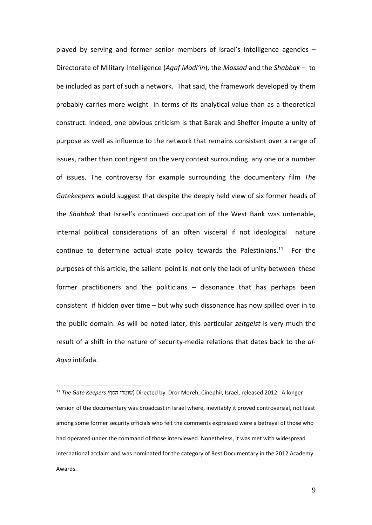played by serving and former senior members of Israel's intelligence agencies – Directorate of Military Intelligence (*Agaf Modi'in*), the *Mossad* and the *Shabbak* – to be included as part of such a network. That said, the framework developed by them probably carries more weight in terms of its analytical value than as a theoretical construct. Indeed, one obvious criticism is that Barak and Sheffer impute a unity of purpose as well as influence to the network that remains consistent over a range of issues, rather than contingent on the very context surrounding any one or a number of issues. The controversy for example surrounding the documentary film *The Gatekeepers* would suggest that despite the deeply held view of six former heads of the *Shabbak* that Israel's continued occupation of the West Bank was untenable, internal political considerations of an often visceral if not ideological nature continue to determine actual state policy towards the Palestinians. $11$  For the purposes of this article, the salient point is not only the lack of unity between these former practitioners and the politicians – dissonance that has perhaps been consistent if hidden over time – but why such dissonance has now spilled over in to the public domain. As will be noted later, this particular *zeitgeist* is very much the result of a shift in the nature of security-media relations that dates back to the *al-Aqsa* intifada.

-

<sup>11</sup> *The Gate Keepers (*הסף שומרי (Directed by Dror Moreh, Cinephil, Israel, released 2012. A longer version of the documentary was broadcast in Israel where, inevitably it proved controversial, not least among some former security officials who felt the comments expressed were a betrayal of those who had operated under the command of those interviewed. Nonetheless, it was met with widespread international acclaim and was nominated for the category of Best Documentary in the 2012 Academy Awards.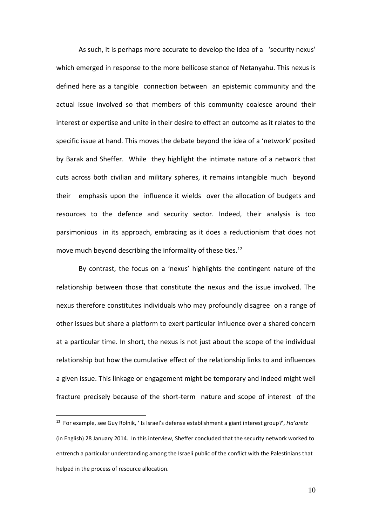As such, it is perhaps more accurate to develop the idea of a 'security nexus' which emerged in response to the more bellicose stance of Netanyahu. This nexus is defined here as a tangible connection between an epistemic community and the actual issue involved so that members of this community coalesce around their interest or expertise and unite in their desire to effect an outcome as it relates to the specific issue at hand. This moves the debate beyond the idea of a 'network' posited by Barak and Sheffer. While they highlight the intimate nature of a network that cuts across both civilian and military spheres, it remains intangible much beyond their emphasis upon the influence it wields over the allocation of budgets and resources to the defence and security sector. Indeed, their analysis is too parsimonious in its approach, embracing as it does a reductionism that does not move much beyond describing the informality of these ties.<sup>12</sup>

By contrast, the focus on a 'nexus' highlights the contingent nature of the relationship between those that constitute the nexus and the issue involved. The nexus therefore constitutes individuals who may profoundly disagree on a range of other issues but share a platform to exert particular influence over a shared concern at a particular time. In short, the nexus is not just about the scope of the individual relationship but how the cumulative effect of the relationship links to and influences a given issue. This linkage or engagement might be temporary and indeed might well fracture precisely because of the short-term nature and scope of interest of the

<u>.</u>

<sup>12</sup> For example, see Guy Rolnik, ' Is Israel's defense establishment a giant interest group?', *Ha'aretz* (in English) 28 January 2014. In this interview, Sheffer concluded that the security network worked to entrench a particular understanding among the Israeli public of the conflict with the Palestinians that helped in the process of resource allocation.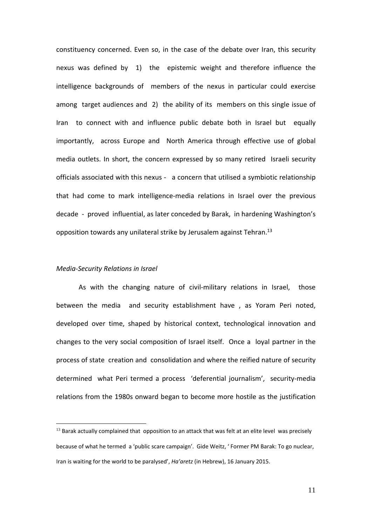constituency concerned. Even so, in the case of the debate over Iran, this security nexus was defined by 1) the epistemic weight and therefore influence the intelligence backgrounds of members of the nexus in particular could exercise among target audiences and 2) the ability of its members on this single issue of Iran to connect with and influence public debate both in Israel but equally importantly, across Europe and North America through effective use of global media outlets. In short, the concern expressed by so many retired Israeli security officials associated with this nexus - a concern that utilised a symbiotic relationship that had come to mark intelligence-media relations in Israel over the previous decade - proved influential, as later conceded by Barak, in hardening Washington's opposition towards any unilateral strike by Jerusalem against Tehran. $^{13}$ 

## *Media-Security Relations in Israel*

As with the changing nature of civil-military relations in Israel, those between the media and security establishment have , as Yoram Peri noted, developed over time, shaped by historical context, technological innovation and changes to the very social composition of Israel itself. Once a loyal partner in the process of state creation and consolidation and where the reified nature of security determined what Peri termed a process 'deferential journalism', security-media relations from the 1980s onward began to become more hostile as the justification

 $13$  Barak actually complained that opposition to an attack that was felt at an elite level was precisely because of what he termed a 'public scare campaign'. Gide Weitz, ' Former PM Barak: To go nuclear, Iran is waiting for the world to be paralysed', *Ha'aretz* (in Hebrew), 16 January 2015.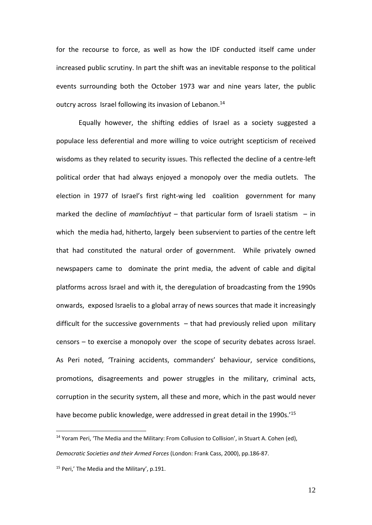for the recourse to force, as well as how the IDF conducted itself came under increased public scrutiny. In part the shift was an inevitable response to the political events surrounding both the October 1973 war and nine years later, the public outcry across Israel following its invasion of Lebanon.<sup>14</sup>

Equally however, the shifting eddies of Israel as a society suggested a populace less deferential and more willing to voice outright scepticism of received wisdoms as they related to security issues. This reflected the decline of a centre-left political order that had always enjoyed a monopoly over the media outlets. The election in 1977 of Israel's first right-wing led coalition government for many marked the decline of *mamlachtiyut* – that particular form of Israeli statism – in which the media had, hitherto, largely been subservient to parties of the centre left that had constituted the natural order of government. While privately owned newspapers came to dominate the print media, the advent of cable and digital platforms across Israel and with it, the deregulation of broadcasting from the 1990s onwards, exposed Israelis to a global array of news sources that made it increasingly difficult for the successive governments  $-$  that had previously relied upon military censors – to exercise a monopoly over the scope of security debates across Israel. As Peri noted, 'Training accidents, commanders' behaviour, service conditions, promotions, disagreements and power struggles in the military, criminal acts, corruption in the security system, all these and more, which in the past would never have become public knowledge, were addressed in great detail in the 1990s.'15

<u>.</u>

<sup>&</sup>lt;sup>14</sup> Yoram Peri, 'The Media and the Military: From Collusion to Collision', in Stuart A. Cohen (ed), *Democratic Societies and their Armed Forces* (London: Frank Cass, 2000), pp.186-87.

<sup>&</sup>lt;sup>15</sup> Peri,' The Media and the Military', p.191.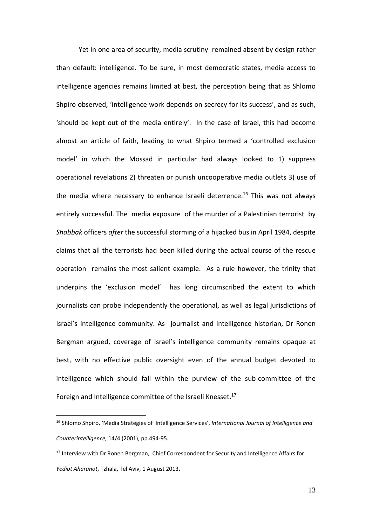Yet in one area of security, media scrutiny remained absent by design rather than default: intelligence. To be sure, in most democratic states, media access to intelligence agencies remains limited at best, the perception being that as Shlomo Shpiro observed, 'intelligence work depends on secrecy for its success', and as such, 'should be kept out of the media entirely'. In the case of Israel, this had become almost an article of faith, leading to what Shpiro termed a 'controlled exclusion model' in which the Mossad in particular had always looked to 1) suppress operational revelations 2) threaten or punish uncooperative media outlets 3) use of the media where necessary to enhance Israeli deterrence.<sup>16</sup> This was not always entirely successful. The media exposure of the murder of a Palestinian terrorist by *Shabbak* officers *after* the successful storming of a hijacked bus in April 1984, despite claims that all the terrorists had been killed during the actual course of the rescue operation remains the most salient example. As a rule however, the trinity that underpins the 'exclusion model' has long circumscribed the extent to which journalists can probe independently the operational, as well as legal jurisdictions of Israel's intelligence community. As journalist and intelligence historian, Dr Ronen Bergman argued, coverage of Israel's intelligence community remains opaque at best, with no effective public oversight even of the annual budget devoted to intelligence which should fall within the purview of the sub-committee of the Foreign and Intelligence committee of the Israeli Knesset.<sup>17</sup>

<sup>16</sup> Shlomo Shpiro, 'Media Strategies of Intelligence Services', *International Journal of Intelligence and Counterintelligence,* 14/4 (2001), pp.494-95*.*

<sup>&</sup>lt;sup>17</sup> Interview with Dr Ronen Bergman, Chief Correspondent for Security and Intelligence Affairs for *Yediot Aharanot*, Tzhala, Tel Aviv, 1 August 2013.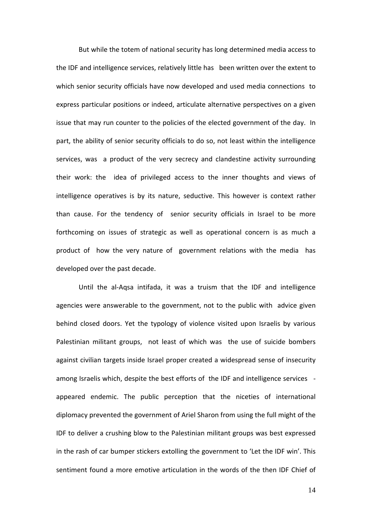But while the totem of national security has long determined media access to the IDF and intelligence services, relatively little has been written over the extent to which senior security officials have now developed and used media connections to express particular positions or indeed, articulate alternative perspectives on a given issue that may run counter to the policies of the elected government of the day. In part, the ability of senior security officials to do so, not least within the intelligence services, was a product of the very secrecy and clandestine activity surrounding their work: the idea of privileged access to the inner thoughts and views of intelligence operatives is by its nature, seductive. This however is context rather than cause. For the tendency of senior security officials in Israel to be more forthcoming on issues of strategic as well as operational concern is as much a product of how the very nature of government relations with the media has developed over the past decade.

Until the al-Aqsa intifada, it was a truism that the IDF and intelligence agencies were answerable to the government, not to the public with advice given behind closed doors. Yet the typology of violence visited upon Israelis by various Palestinian militant groups, not least of which was the use of suicide bombers against civilian targets inside Israel proper created a widespread sense of insecurity among Israelis which, despite the best efforts of the IDF and intelligence services appeared endemic. The public perception that the niceties of international diplomacy prevented the government of Ariel Sharon from using the full might of the IDF to deliver a crushing blow to the Palestinian militant groups was best expressed in the rash of car bumper stickers extolling the government to 'Let the IDF win'. This sentiment found a more emotive articulation in the words of the then IDF Chief of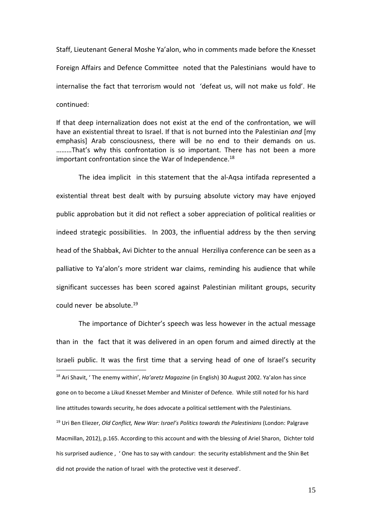Staff, Lieutenant General Moshe Ya'alon, who in comments made before the Knesset Foreign Affairs and Defence Committee noted that the Palestinians would have to internalise the fact that terrorism would not 'defeat us, will not make us fold'. He continued:

If that deep internalization does not exist at the end of the confrontation, we will have an existential threat to Israel. If that is not burned into the Palestinian *and* [my emphasis] Arab consciousness, there will be no end to their demands on us. ………That's why this confrontation is so important. There has not been a more important confrontation since the War of Independence.<sup>18</sup>

The idea implicit in this statement that the al-Aqsa intifada represented a existential threat best dealt with by pursuing absolute victory may have enjoyed public approbation but it did not reflect a sober appreciation of political realities or indeed strategic possibilities. In 2003, the influential address by the then serving head of the Shabbak, Avi Dichter to the annual Herziliya conference can be seen as a palliative to Ya'alon's more strident war claims, reminding his audience that while significant successes has been scored against Palestinian militant groups, security could never be absolute.19

The importance of Dichter's speech was less however in the actual message than in the fact that it was delivered in an open forum and aimed directly at the Israeli public. It was the first time that a serving head of one of Israel's security -<sup>18</sup> Ari Shavit, ' The enemy within', *Ha'aretz Magazine* (in English) 30 August 2002. Ya'alon has since gone on to become a Likud Knesset Member and Minister of Defence. While still noted for his hard line attitudes towards security, he does advocate a political settlement with the Palestinians. <sup>19</sup> Uri Ben Eliezer, *Old Conflict, New War: Israel's Politics towards the Palestinians (London: Palgrave* Macmillan, 2012), p.165. According to this account and with the blessing of Ariel Sharon, Dichter told his surprised audience , ' One has to say with candour: the security establishment and the Shin Bet did not provide the nation of Israel with the protective vest it deserved'.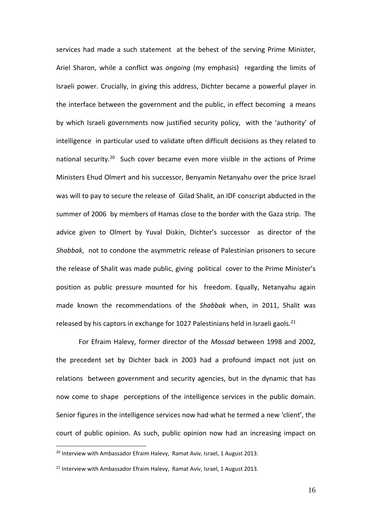services had made a such statement at the behest of the serving Prime Minister, Ariel Sharon, while a conflict was *ongoing* (my emphasis) regarding the limits of Israeli power. Crucially, in giving this address, Dichter became a powerful player in the interface between the government and the public, in effect becoming a means by which Israeli governments now justified security policy, with the 'authority' of intelligence in particular used to validate often difficult decisions as they related to national security.<sup>20</sup> Such cover became even more visible in the actions of Prime Ministers Ehud Olmert and his successor, Benyamin Netanyahu over the price Israel was will to pay to secure the release of Gilad Shalit, an IDF conscript abducted in the summer of 2006 by members of Hamas close to the border with the Gaza strip. The advice given to Olmert by Yuval Diskin, Dichter's successor as director of the *Shabbak*, not to condone the asymmetric release of Palestinian prisoners to secure the release of Shalit was made public, giving political cover to the Prime Minister's position as public pressure mounted for his freedom. Equally, Netanyahu again made known the recommendations of the *Shabbak* when, in 2011, Shalit was released by his captors in exchange for 1027 Palestinians held in Israeli gaols. $^{21}$ 

For Efraim Halevy, former director of the *Mossad* between 1998 and 2002, the precedent set by Dichter back in 2003 had a profound impact not just on relations between government and security agencies, but in the dynamic that has now come to shape perceptions of the intelligence services in the public domain. Senior figures in the intelligence services now had what he termed a new 'client', the court of public opinion. As such, public opinion now had an increasing impact on

<sup>&</sup>lt;sup>20</sup> Interview with Ambassador Efraim Halevy, Ramat Aviv, Israel, 1 August 2013.

<sup>&</sup>lt;sup>21</sup> Interview with Ambassador Efraim Halevy, Ramat Aviv, Israel, 1 August 2013.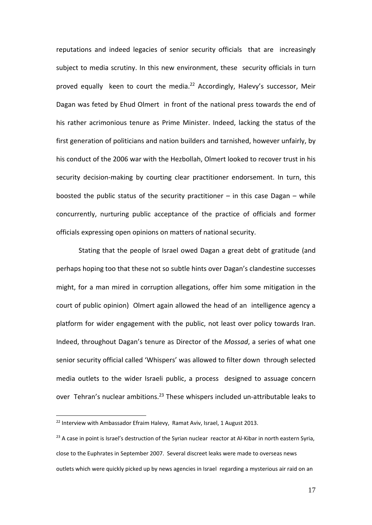reputations and indeed legacies of senior security officials that are increasingly subject to media scrutiny. In this new environment, these security officials in turn proved equally keen to court the media.<sup>22</sup> Accordingly, Halevy's successor, Meir Dagan was feted by Ehud Olmert in front of the national press towards the end of his rather acrimonious tenure as Prime Minister. Indeed, lacking the status of the first generation of politicians and nation builders and tarnished, however unfairly, by his conduct of the 2006 war with the Hezbollah, Olmert looked to recover trust in his security decision-making by courting clear practitioner endorsement. In turn, this boosted the public status of the security practitioner  $-$  in this case Dagan  $-$  while concurrently, nurturing public acceptance of the practice of officials and former officials expressing open opinions on matters of national security.

Stating that the people of Israel owed Dagan a great debt of gratitude (and perhaps hoping too that these not so subtle hints over Dagan's clandestine successes might, for a man mired in corruption allegations, offer him some mitigation in the court of public opinion) Olmert again allowed the head of an intelligence agency a platform for wider engagement with the public, not least over policy towards Iran. Indeed, throughout Dagan's tenure as Director of the *Mossad*, a series of what one senior security official called 'Whispers' was allowed to filter down through selected media outlets to the wider Israeli public, a process designed to assuage concern over Tehran's nuclear ambitions.<sup>23</sup> These whispers included un-attributable leaks to

<sup>&</sup>lt;sup>22</sup> Interview with Ambassador Efraim Halevy, Ramat Aviv, Israel, 1 August 2013.

<sup>&</sup>lt;sup>23</sup> A case in point is Israel's destruction of the Syrian nuclear reactor at Al-Kibar in north eastern Syria, close to the Euphrates in September 2007. Several discreet leaks were made to overseas news outlets which were quickly picked up by news agencies in Israel regarding a mysterious air raid on an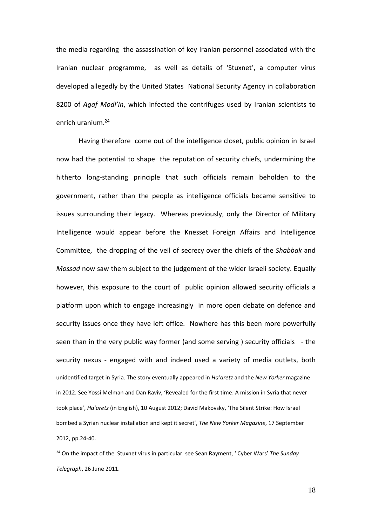the media regarding the assassination of key Iranian personnel associated with the Iranian nuclear programme, as well as details of 'Stuxnet', a computer virus developed allegedly by the United States National Security Agency in collaboration 8200 of *Agaf Modi'in*, which infected the centrifuges used by Iranian scientists to enrich uranium.24

Having therefore come out of the intelligence closet, public opinion in Israel now had the potential to shape the reputation of security chiefs, undermining the hitherto long-standing principle that such officials remain beholden to the government, rather than the people as intelligence officials became sensitive to issues surrounding their legacy. Whereas previously, only the Director of Military Intelligence would appear before the Knesset Foreign Affairs and Intelligence Committee, the dropping of the veil of secrecy over the chiefs of the *Shabbak* and *Mossad* now saw them subject to the judgement of the wider Israeli society. Equally however, this exposure to the court of public opinion allowed security officials a platform upon which to engage increasingly in more open debate on defence and security issues once they have left office. Nowhere has this been more powerfully seen than in the very public way former (and some serving ) security officials - the security nexus - engaged with and indeed used a variety of media outlets, both unidentified target in Syria. The story eventually appeared in *Ha'aretz* and the *New Yorker* magazine in 2012. See Yossi Melman and Dan Raviv, 'Revealed for the first time: A mission in Syria that never took place', *Ha'aretz* (in English), 10 August 2012; David Makovsky, 'The Silent Strike: How Israel bombed a Syrian nuclear installation and kept it secret', *The New Yorker Magazine*, 17 September 2012, pp.24-40.

<sup>24</sup> On the impact of the Stuxnet virus in particular see Sean Rayment, ' Cyber Wars' *The Sunday Telegraph*, 26 June 2011.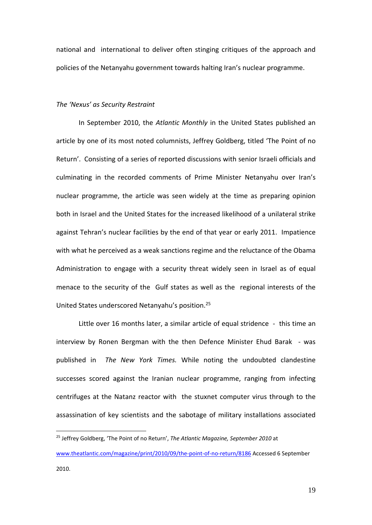national and international to deliver often stinging critiques of the approach and policies of the Netanyahu government towards halting Iran's nuclear programme.

#### *The 'Nexus' as Security Restraint*

<u>.</u>

In September 2010, the *Atlantic Monthly* in the United States published an article by one of its most noted columnists, Jeffrey Goldberg, titled 'The Point of no Return'. Consisting of a series of reported discussions with senior Israeli officials and culminating in the recorded comments of Prime Minister Netanyahu over Iran's nuclear programme, the article was seen widely at the time as preparing opinion both in Israel and the United States for the increased likelihood of a unilateral strike against Tehran's nuclear facilities by the end of that year or early 2011. Impatience with what he perceived as a weak sanctions regime and the reluctance of the Obama Administration to engage with a security threat widely seen in Israel as of equal menace to the security of the Gulf states as well as the regional interests of the United States underscored Netanyahu's position.25

Little over 16 months later, a similar article of equal stridence - this time an interview by Ronen Bergman with the then Defence Minister Ehud Barak - was published in *The New York Times.* While noting the undoubted clandestine successes scored against the Iranian nuclear programme, ranging from infecting centrifuges at the Natanz reactor with the stuxnet computer virus through to the assassination of key scientists and the sabotage of military installations associated

<sup>25</sup> Jeffrey Goldberg, 'The Point of no Return', *The Atlantic Magazine, September 2010* at [www.theatlantic.com/magazine/print/2010/09/the-point-of-no-return/8186](http://www.theatlantic.com/magazine/print/2010/09/the-point-of-no-return/8186) Accessed 6 September 2010.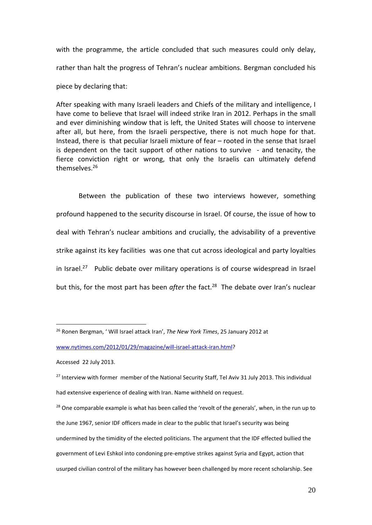with the programme, the article concluded that such measures could only delay, rather than halt the progress of Tehran's nuclear ambitions. Bergman concluded his piece by declaring that:

After speaking with many Israeli leaders and Chiefs of the military and intelligence, I have come to believe that Israel will indeed strike Iran in 2012. Perhaps in the small and ever diminishing window that is left, the United States will choose to intervene after all, but here, from the Israeli perspective, there is not much hope for that. Instead, there is that peculiar Israeli mixture of fear – rooted in the sense that Israel is dependent on the tacit support of other nations to survive - and tenacity, the fierce conviction right or wrong, that only the Israelis can ultimately defend themselves<sup>26</sup>

Between the publication of these two interviews however, something profound happened to the security discourse in Israel. Of course, the issue of how to deal with Tehran's nuclear ambitions and crucially, the advisability of a preventive strike against its key facilities was one that cut across ideological and party loyalties in Israel.<sup>27</sup> Public debate over military operations is of course widespread in Israel but this, for the most part has been *after* the fact.<sup>28</sup> The debate over Iran's nuclear

<sup>26</sup> Ronen Bergman, ' Will Israel attack Iran', *The New York Times*, 25 January 2012 at [www.nytimes.com/2012/01/29/magazine/will-israel-attack-iran.html?](http://www.nytimes.com/2012/01/29/magazine/will-israel-attack-iran.html)

Accessed 22 July 2013.

<sup>&</sup>lt;sup>27</sup> Interview with former member of the National Security Staff, Tel Aviv 31 July 2013. This individual had extensive experience of dealing with Iran. Name withheld on request.

 $28$  One comparable example is what has been called the 'revolt of the generals', when, in the run up to the June 1967, senior IDF officers made in clear to the public that Israel's security was being undermined by the timidity of the elected politicians. The argument that the IDF effected bullied the government of Levi Eshkol into condoning pre-emptive strikes against Syria and Egypt, action that usurped civilian control of the military has however been challenged by more recent scholarship. See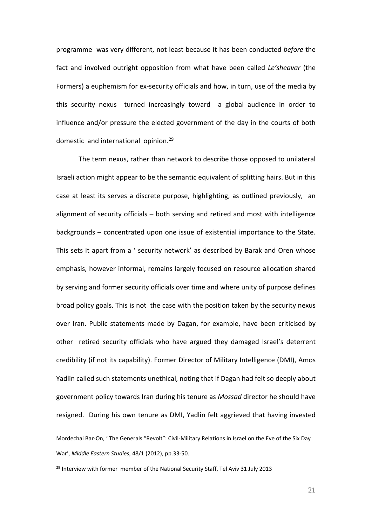programme was very different, not least because it has been conducted *before* the fact and involved outright opposition from what have been called *Le'sheavar* (the Formers) a euphemism for ex-security officials and how, in turn, use of the media by this security nexus turned increasingly toward a global audience in order to influence and/or pressure the elected government of the day in the courts of both domestic and international opinion.<sup>29</sup>

The term nexus, rather than network to describe those opposed to unilateral Israeli action might appear to be the semantic equivalent of splitting hairs. But in this case at least its serves a discrete purpose, highlighting, as outlined previously, an alignment of security officials – both serving and retired and most with intelligence backgrounds – concentrated upon one issue of existential importance to the State. This sets it apart from a ' security network' as described by Barak and Oren whose emphasis, however informal, remains largely focused on resource allocation shared by serving and former security officials over time and where unity of purpose defines broad policy goals. This is not the case with the position taken by the security nexus over Iran. Public statements made by Dagan, for example, have been criticised by other retired security officials who have argued they damaged Israel's deterrent credibility (if not its capability). Former Director of Military Intelligence (DMI), Amos Yadlin called such statements unethical, noting that if Dagan had felt so deeply about government policy towards Iran during his tenure as *Mossad* director he should have resigned. During his own tenure as DMI, Yadlin felt aggrieved that having invested

<u>.</u>

Mordechai Bar-On, ' The Generals "Revolt": Civil-Military Relations in Israel on the Eve of the Six Day War', *Middle Eastern Studies*, 48/1 (2012), pp.33-50.

<sup>&</sup>lt;sup>29</sup> Interview with former member of the National Security Staff, Tel Aviv 31 July 2013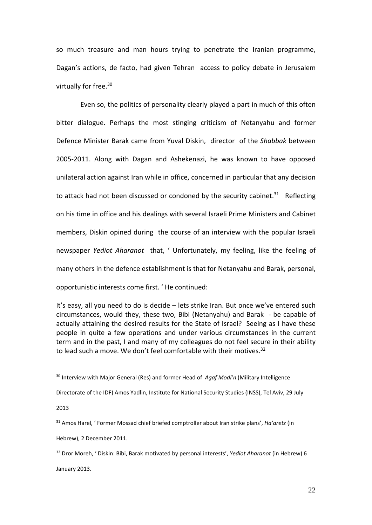so much treasure and man hours trying to penetrate the Iranian programme, Dagan's actions, de facto, had given Tehran access to policy debate in Jerusalem virtually for free.30

Even so, the politics of personality clearly played a part in much of this often bitter dialogue. Perhaps the most stinging criticism of Netanyahu and former Defence Minister Barak came from Yuval Diskin, director of the *Shabbak* between 2005-2011. Along with Dagan and Ashekenazi, he was known to have opposed unilateral action against Iran while in office, concerned in particular that any decision to attack had not been discussed or condoned by the security cabinet.<sup>31</sup> Reflecting on his time in office and his dealings with several Israeli Prime Ministers and Cabinet members, Diskin opined during the course of an interview with the popular Israeli newspaper *Yediot Aharanot* that, ' Unfortunately, my feeling, like the feeling of many others in the defence establishment is that for Netanyahu and Barak, personal, opportunistic interests come first. ' He continued:

It's easy, all you need to do is decide – lets strike Iran. But once we've entered such circumstances, would they, these two, Bibi (Netanyahu) and Barak - be capable of actually attaining the desired results for the State of Israel? Seeing as I have these people in quite a few operations and under various circumstances in the current term and in the past, I and many of my colleagues do not feel secure in their ability to lead such a move. We don't feel comfortable with their motives.<sup>32</sup>

2013

-

January 2013.

<sup>30</sup> Interview with Major General (Res) and former Head of *Agaf Modi'n* (Military Intelligence

Directorate of the IDF) Amos Yadlin, Institute for National Security Studies (INSS), Tel Aviv, 29 July

<sup>31</sup> Amos Harel, ' Former Mossad chief briefed comptroller about Iran strike plans', *Ha'aretz* (in

Hebrew), 2 December 2011.

<sup>32</sup> Dror Moreh, ' Diskin: Bibi, Barak motivated by personal interests', *Yediot Aharanot* (in Hebrew) 6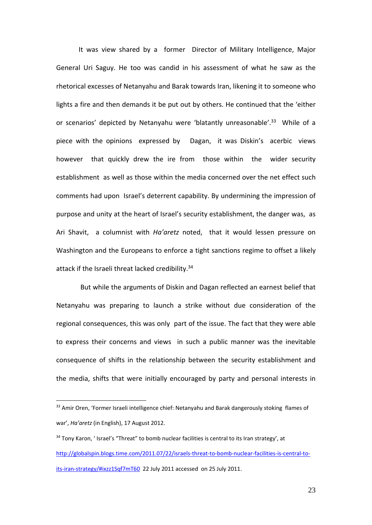It was view shared by a former Director of Military Intelligence, Major General Uri Saguy. He too was candid in his assessment of what he saw as the rhetorical excesses of Netanyahu and Barak towards Iran, likening it to someone who lights a fire and then demands it be put out by others. He continued that the 'either or scenarios' depicted by Netanyahu were 'blatantly unreasonable'.<sup>33</sup> While of a piece with the opinions expressed by Dagan, it was Diskin's acerbic views however that quickly drew the ire from those within the wider security establishment as well as those within the media concerned over the net effect such comments had upon Israel's deterrent capability. By undermining the impression of purpose and unity at the heart of Israel's security establishment, the danger was, as Ari Shavit, a columnist with *Ha'aretz* noted, that it would lessen pressure on Washington and the Europeans to enforce a tight sanctions regime to offset a likely attack if the Israeli threat lacked credibility.<sup>34</sup>

But while the arguments of Diskin and Dagan reflected an earnest belief that Netanyahu was preparing to launch a strike without due consideration of the regional consequences, this was only part of the issue. The fact that they were able to express their concerns and views in such a public manner was the inevitable consequence of shifts in the relationship between the security establishment and the media, shifts that were initially encouraged by party and personal interests in

-

<sup>&</sup>lt;sup>33</sup> Amir Oren, 'Former Israeli intelligence chief: Netanyahu and Barak dangerously stoking flames of war', *Ha'aretz* (in English), 17 August 2012.

<sup>&</sup>lt;sup>34</sup> Tony Karon, ' Israel's "Threat" to bomb nuclear facilities is central to its Iran strategy', at [http://globalspin.blogs.time.com/2011.07/22/israels-threat-to-bomb-nuclear-facilities-is-central-to](http://globalspin.blogs.time.com/2011.07/22/israels-threat-to-bomb-nuclear-facilities-is-central-to-its-iran-strategy/#ixzz1Sqf7mT60)[its-iran-strategy/#ixzz1Sqf7mT60](http://globalspin.blogs.time.com/2011.07/22/israels-threat-to-bomb-nuclear-facilities-is-central-to-its-iran-strategy/#ixzz1Sqf7mT60) 22 July 2011 accessed on 25 July 2011.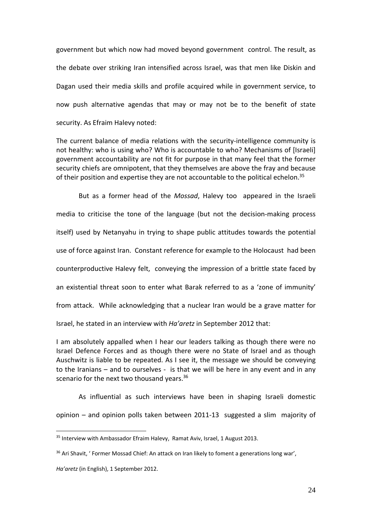government but which now had moved beyond government control. The result, as the debate over striking Iran intensified across Israel, was that men like Diskin and Dagan used their media skills and profile acquired while in government service, to now push alternative agendas that may or may not be to the benefit of state security. As Efraim Halevy noted:

The current balance of media relations with the security-intelligence community is not healthy: who is using who? Who is accountable to who? Mechanisms of [Israeli] government accountability are not fit for purpose in that many feel that the former security chiefs are omnipotent, that they themselves are above the fray and because of their position and expertise they are not accountable to the political echelon.<sup>35</sup>

But as a former head of the *Mossad*, Halevy too appeared in the Israeli media to criticise the tone of the language (but not the decision-making process itself) used by Netanyahu in trying to shape public attitudes towards the potential use of force against Iran. Constant reference for example to the Holocaust had been counterproductive Halevy felt, conveying the impression of a brittle state faced by an existential threat soon to enter what Barak referred to as a 'zone of immunity' from attack. While acknowledging that a nuclear Iran would be a grave matter for Israel, he stated in an interview with *Ha'aretz* in September 2012 that:

I am absolutely appalled when I hear our leaders talking as though there were no Israel Defence Forces and as though there were no State of Israel and as though Auschwitz is liable to be repeated. As I see it, the message we should be conveying to the Iranians – and to ourselves - is that we will be here in any event and in any scenario for the next two thousand years.<sup>36</sup>

As influential as such interviews have been in shaping Israeli domestic opinion – and opinion polls taken between 2011-13 suggested a slim majority of

<sup>&</sup>lt;sup>35</sup> Interview with Ambassador Efraim Halevy, Ramat Aviv, Israel, 1 August 2013.

<sup>&</sup>lt;sup>36</sup> Ari Shavit, ' Former Mossad Chief: An attack on Iran likely to foment a generations long war',

*Ha'aretz* (in English), 1 September 2012.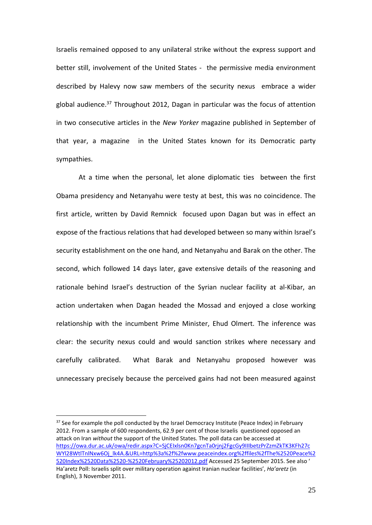Israelis remained opposed to any unilateral strike without the express support and better still, involvement of the United States - the permissive media environment described by Halevy now saw members of the security nexus embrace a wider global audience. $37$  Throughout 2012, Dagan in particular was the focus of attention in two consecutive articles in the *New Yorker* magazine published in September of that year, a magazine in the United States known for its Democratic party sympathies.

At a time when the personal, let alone diplomatic ties between the first Obama presidency and Netanyahu were testy at best, this was no coincidence. The first article, written by David Remnick focused upon Dagan but was in effect an expose of the fractious relations that had developed between so many within Israel's security establishment on the one hand, and Netanyahu and Barak on the other. The second, which followed 14 days later, gave extensive details of the reasoning and rationale behind Israel's destruction of the Syrian nuclear facility at al-Kibar, an action undertaken when Dagan headed the Mossad and enjoyed a close working relationship with the incumbent Prime Minister, Ehud Olmert. The inference was clear: the security nexus could and would sanction strikes where necessary and carefully calibrated. What Barak and Netanyahu proposed however was unnecessary precisely because the perceived gains had not been measured against

<sup>&</sup>lt;sup>37</sup> See for example the poll conducted by the Israel Democracy Institute (Peace Index) in February 2012. From a sample of 600 respondents, 62.9 per cent of those Israelis questioned opposed an attack on Iran *without* the support of the United States. The poll data can be accessed at [https://owa.dur.ac.uk/owa/redir.aspx?C=SjCEIxlsn0Kn7gcnTa0rjnj2FgcGy9IIIbetzPrZzmZkTK3KFh27c](https://owa.dur.ac.uk/owa/redir.aspx?C=SjCEIxlsn0Kn7gcnTa0rjnj2FgcGy9IIIbetzPrZzmZkTK3KFh27cWYl28WtlTnlNxw6Oj_lk4A.&URL=http%3a%2f%2fwww.peaceindex.org%2ffiles%2fThe%2520Peace%2520Index%2520Data%2520-%2520February%25202012.pdf) WYI28WtlTnlNxw6Oj\_lk4A.&URL=http%3a%2f%2fwww.peaceindex.org%2ffiles%2fThe%2520Peace%2 [520Index%2520Data%2520-%2520February%25202012.pdf](https://owa.dur.ac.uk/owa/redir.aspx?C=SjCEIxlsn0Kn7gcnTa0rjnj2FgcGy9IIIbetzPrZzmZkTK3KFh27cWYl28WtlTnlNxw6Oj_lk4A.&URL=http%3a%2f%2fwww.peaceindex.org%2ffiles%2fThe%2520Peace%2520Index%2520Data%2520-%2520February%25202012.pdf) Accessed 25 September 2015. See also ' Ha'aretz Poll: Israelis split over military operation against Iranian nuclear facilities', *Ha'aretz* (in English), 3 November 2011.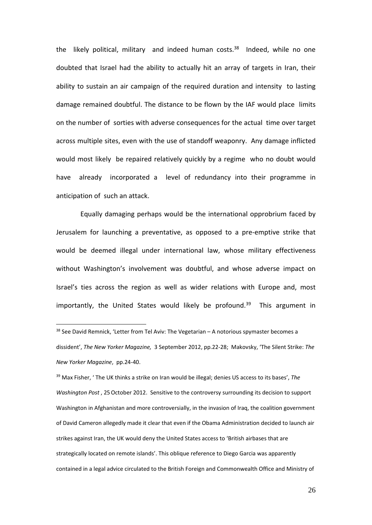the likely political, military and indeed human costs. 38 Indeed, while no one doubted that Israel had the ability to actually hit an array of targets in Iran, their ability to sustain an air campaign of the required duration and intensity to lasting damage remained doubtful. The distance to be flown by the IAF would place limits on the number of sorties with adverse consequences for the actual time over target across multiple sites, even with the use of standoff weaponry. Any damage inflicted would most likely be repaired relatively quickly by a regime who no doubt would have already incorporated a level of redundancy into their programme in anticipation of such an attack.

Equally damaging perhaps would be the international opprobrium faced by Jerusalem for launching a preventative, as opposed to a pre-emptive strike that would be deemed illegal under international law, whose military effectiveness without Washington's involvement was doubtful, and whose adverse impact on Israel's ties across the region as well as wider relations with Europe and, most importantly, the United States would likely be profound.<sup>39</sup> This argument in

<u>.</u>

<sup>39</sup> Max Fisher, ' The UK thinks a strike on Iran would be illegal; denies US access to its bases', *The*  Washington Post, 25 October 2012. Sensitive to the controversy surrounding its decision to support Washington in Afghanistan and more controversially, in the invasion of Iraq, the coalition government of David Cameron allegedly made it clear that even if the Obama Administration decided to launch air strikes against Iran, the UK would deny the United States access to 'British airbases that are strategically located on remote islands'. This oblique reference to Diego Garcia was apparently contained in a legal advice circulated to the British Foreign and Commonwealth Office and Ministry of

 $38$  See David Remnick, 'Letter from Tel Aviv: The Vegetarian – A notorious spymaster becomes a dissident', *The New Yorker Magazine,* 3 September 2012, pp.22-28; Makovsky, 'The Silent Strike: *The New Yorker Magazine*, pp.24-40.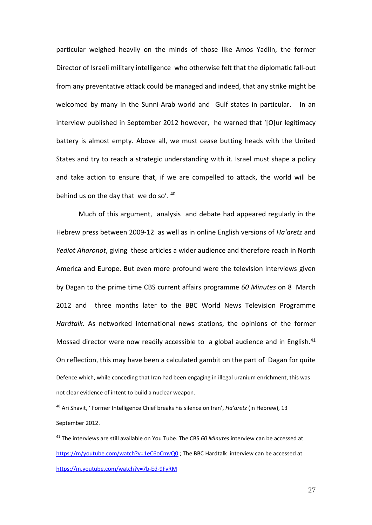particular weighed heavily on the minds of those like Amos Yadlin, the former Director of Israeli military intelligence who otherwise felt that the diplomatic fall-out from any preventative attack could be managed and indeed, that any strike might be welcomed by many in the Sunni-Arab world and Gulf states in particular. In an interview published in September 2012 however, he warned that '[O]ur legitimacy battery is almost empty. Above all, we must cease butting heads with the United States and try to reach a strategic understanding with it. Israel must shape a policy and take action to ensure that, if we are compelled to attack, the world will be behind us on the day that we do so'. 40

Much of this argument, analysis and debate had appeared regularly in the Hebrew press between 2009-12 as well as in online English versions of *Ha'aretz* and *Yediot Aharonot*, giving these articles a wider audience and therefore reach in North America and Europe. But even more profound were the television interviews given by Dagan to the prime time CBS current affairs programme *60 Minutes* on 8 March 2012 and three months later to the BBC World News Television Programme *Hardtalk.* As networked international news stations, the opinions of the former Mossad director were now readily accessible to a global audience and in English. $41$ On reflection, this may have been a calculated gambit on the part of Dagan for quite -Defence which, while conceding that Iran had been engaging in illegal uranium enrichment, this was not clear evidence of intent to build a nuclear weapon.

<sup>40</sup> Ari Shavit, ' Former Intelligence Chief breaks his silence on Iran', *Ha'aretz* (in Hebrew), 13 September 2012.

<sup>41</sup> The interviews are still available on You Tube. The CBS *60 Minutes* interview can be accessed at <https://m/youtube.com/watch?v=1eC6oCmvQ0> ; The BBC Hardtalk interview can be accessed at <https://m.youtube.com/watch?v=7b-Ed-9FyRM>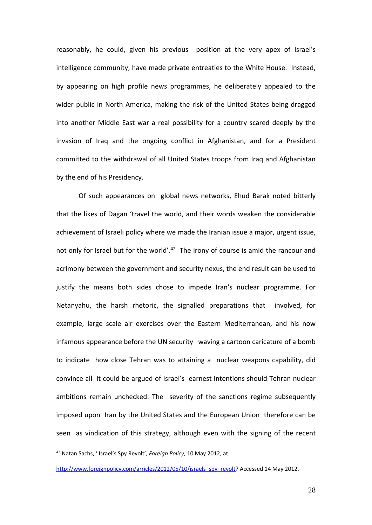reasonably, he could, given his previous position at the very apex of Israel's intelligence community, have made private entreaties to the White House. Instead, by appearing on high profile news programmes, he deliberately appealed to the wider public in North America, making the risk of the United States being dragged into another Middle East war a real possibility for a country scared deeply by the invasion of Iraq and the ongoing conflict in Afghanistan, and for a President committed to the withdrawal of all United States troops from Iraq and Afghanistan by the end of his Presidency.

Of such appearances on global news networks, Ehud Barak noted bitterly that the likes of Dagan 'travel the world, and their words weaken the considerable achievement of Israeli policy where we made the Iranian issue a major, urgent issue, not only for Israel but for the world'.<sup>42</sup> The irony of course is amid the rancour and acrimony between the government and security nexus, the end result can be used to justify the means both sides chose to impede Iran's nuclear programme. For Netanyahu, the harsh rhetoric, the signalled preparations that involved, for example, large scale air exercises over the Eastern Mediterranean, and his now infamous appearance before the UN security waving a cartoon caricature of a bomb to indicate how close Tehran was to attaining a nuclear weapons capability, did convince all it could be argued of Israel's earnest intentions should Tehran nuclear ambitions remain unchecked. The severity of the sanctions regime subsequently imposed upon Iran by the United States and the European Union therefore can be seen as vindication of this strategy, although even with the signing of the recent

<sup>42</sup> Natan Sachs, ' Israel's Spy Revolt', *Foreign Policy*, 10 May 2012, at

[http://www.foreignpolicy.com/arricles/2012/05/10/israels\\_spy\\_revolt?](http://www.foreignpolicy.com/arricles/2012/05/10/israels_spy_revolt) Accessed 14 May 2012.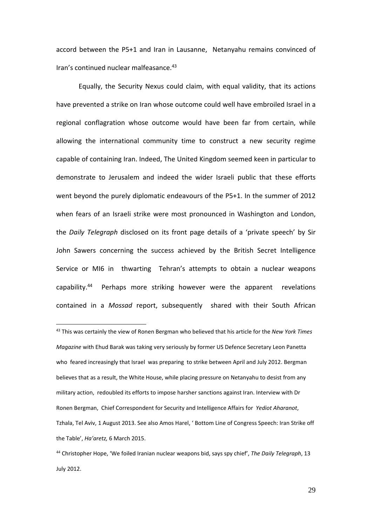accord between the P5+1 and Iran in Lausanne, Netanyahu remains convinced of Iran's continued nuclear malfeasance.<sup>43</sup>

Equally, the Security Nexus could claim, with equal validity, that its actions have prevented a strike on Iran whose outcome could well have embroiled Israel in a regional conflagration whose outcome would have been far from certain, while allowing the international community time to construct a new security regime capable of containing Iran. Indeed, The United Kingdom seemed keen in particular to demonstrate to Jerusalem and indeed the wider Israeli public that these efforts went beyond the purely diplomatic endeavours of the P5+1. In the summer of 2012 when fears of an Israeli strike were most pronounced in Washington and London, the *Daily Telegraph* disclosed on its front page details of a 'private speech' by Sir John Sawers concerning the success achieved by the British Secret Intelligence Service or MI6 in thwarting Tehran's attempts to obtain a nuclear weapons capability.44 Perhaps more striking however were the apparent revelations contained in a *Mossad* report, subsequently shared with their South African

<sup>43</sup> This was certainly the view of Ronen Bergman who believed that his article for the *New York Times Magazine* with Ehud Barak was taking very seriously by former US Defence Secretary Leon Panetta who feared increasingly that Israel was preparing to strike between April and July 2012. Bergman believes that as a result, the White House, while placing pressure on Netanyahu to desist from any military action, redoubled its efforts to impose harsher sanctions against Iran. Interview with Dr Ronen Bergman, Chief Correspondent for Security and Intelligence Affairs for *Yediot Aharanot*, Tzhala, Tel Aviv, 1 August 2013. See also Amos Harel, ' Bottom Line of Congress Speech: Iran Strike off the Table', *Ha'aretz,* 6 March 2015.

<sup>44</sup> Christopher Hope, 'We foiled Iranian nuclear weapons bid, says spy chief', *The Daily Telegraph*, 13 July 2012.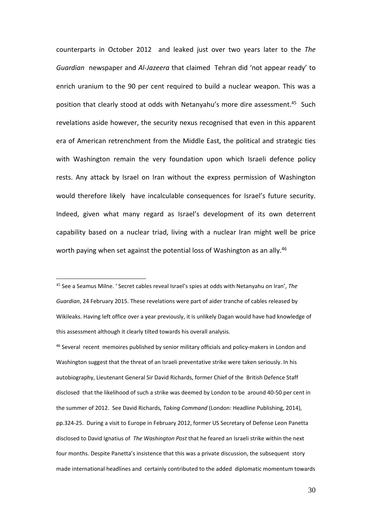counterparts in October 2012 and leaked just over two years later to the *The Guardian* newspaper and *Al-Jazeera* that claimed Tehran did 'not appear ready' to enrich uranium to the 90 per cent required to build a nuclear weapon. This was a position that clearly stood at odds with Netanyahu's more dire assessment. <sup>45</sup> Such revelations aside however, the security nexus recognised that even in this apparent era of American retrenchment from the Middle East, the political and strategic ties with Washington remain the very foundation upon which Israeli defence policy rests. Any attack by Israel on Iran without the express permission of Washington would therefore likely have incalculable consequences for Israel's future security. Indeed, given what many regard as Israel's development of its own deterrent capability based on a nuclear triad, living with a nuclear Iran might well be price worth paying when set against the potential loss of Washington as an ally.<sup>46</sup>

46 Several recent memoires published by senior military officials and policy-makers in London and Washington suggest that the threat of an Israeli preventative strike were taken seriously. In his autobiography, Lieutenant General Sir David Richards, former Chief of the British Defence Staff disclosed that the likelihood of such a strike was deemed by London to be around 40-50 per cent in the summer of 2012. See David Richards, *Taking Command* (London: Headline Publishing, 2014), pp.324-25. During a visit to Europe in February 2012, former US Secretary of Defense Leon Panetta disclosed to David Ignatius of *The Washington Post* that he feared an Israeli strike within the next four months. Despite Panetta's insistence that this was a private discussion, the subsequent story made international headlines and certainly contributed to the added diplomatic momentum towards

 <sup>45</sup> See a Seamus Milne. ' Secret cables reveal Israel's spies at odds with Netanyahu on Iran', *The Guardian*, 24 February 2015. These revelations were part of aider tranche of cables released by Wikileaks. Having left office over a year previously, it is unlikely Dagan would have had knowledge of this assessment although it clearly tilted towards his overall analysis.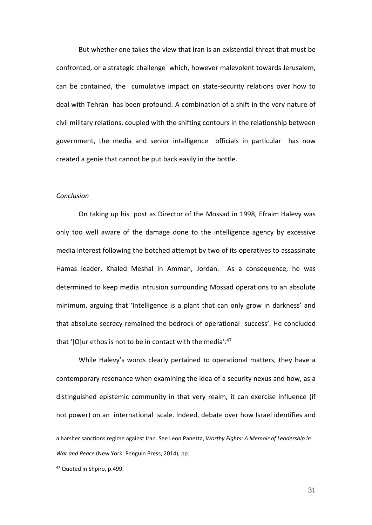But whether one takes the view that Iran is an existential threat that must be confronted, or a strategic challenge which, however malevolent towards Jerusalem, can be contained, the cumulative impact on state-security relations over how to deal with Tehran has been profound. A combination of a shift in the very nature of civil military relations, coupled with the shifting contours in the relationship between government, the media and senior intelligence officials in particular has now created a genie that cannot be put back easily in the bottle.

### *Conclusion*

On taking up his post as Director of the Mossad in 1998, Efraim Halevy was only too well aware of the damage done to the intelligence agency by excessive media interest following the botched attempt by two of its operatives to assassinate Hamas leader, Khaled Meshal in Amman, Jordan. As a consequence, he was determined to keep media intrusion surrounding Mossad operations to an absolute minimum, arguing that 'Intelligence is a plant that can only grow in darkness' and that absolute secrecy remained the bedrock of operational success'. He concluded that '[O]ur ethos is not to be in contact with the media'.<sup>47</sup>

While Halevy's words clearly pertained to operational matters, they have a contemporary resonance when examining the idea of a security nexus and how, as a distinguished epistemic community in that very realm, it can exercise influence (if not power) on an international scale. Indeed, debate over how Israel identifies and

<u>.</u>

a harsher sanctions regime against Iran. See Leon Panetta, *Worthy Fights: A Memoir of Leadership in War and Peace* (New York: Penguin Press, 2014), pp.

<sup>47</sup> Quoted in Shpiro, p.499.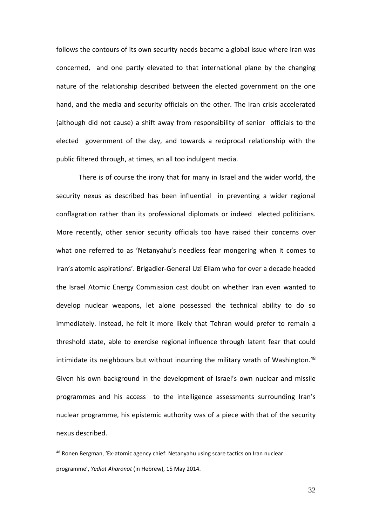follows the contours of its own security needs became a global issue where Iran was concerned, and one partly elevated to that international plane by the changing nature of the relationship described between the elected government on the one hand, and the media and security officials on the other. The Iran crisis accelerated (although did not cause) a shift away from responsibility of senior officials to the elected government of the day, and towards a reciprocal relationship with the public filtered through, at times, an all too indulgent media.

There is of course the irony that for many in Israel and the wider world, the security nexus as described has been influential in preventing a wider regional conflagration rather than its professional diplomats or indeed elected politicians. More recently, other senior security officials too have raised their concerns over what one referred to as 'Netanyahu's needless fear mongering when it comes to Iran's atomic aspirations'. Brigadier-General Uzi Eilam who for over a decade headed the Israel Atomic Energy Commission cast doubt on whether Iran even wanted to develop nuclear weapons, let alone possessed the technical ability to do so immediately. Instead, he felt it more likely that Tehran would prefer to remain a threshold state, able to exercise regional influence through latent fear that could intimidate its neighbours but without incurring the military wrath of Washington. $48$ Given his own background in the development of Israel's own nuclear and missile programmes and his access to the intelligence assessments surrounding Iran's nuclear programme, his epistemic authority was of a piece with that of the security nexus described.

<sup>48</sup> Ronen Bergman, 'Ex-atomic agency chief: Netanyahu using scare tactics on Iran nuclear programme', *Yediot Aharonot* (in Hebrew), 15 May 2014.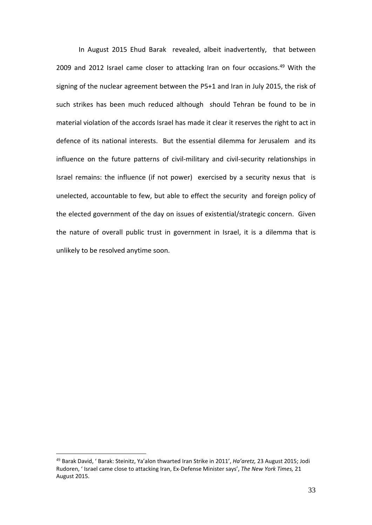In August 2015 Ehud Barak revealed, albeit inadvertently, that between 2009 and 2012 Israel came closer to attacking Iran on four occasions.<sup>49</sup> With the signing of the nuclear agreement between the P5+1 and Iran in July 2015, the risk of such strikes has been much reduced although should Tehran be found to be in material violation of the accords Israel has made it clear it reserves the right to act in defence of its national interests.But the essential dilemma for Jerusalem and its influence on the future patterns of civil-military and civil-security relationships in Israel remains: the influence (if not power) exercised by a security nexus that is unelected, accountable to few, but able to effect the security and foreign policy of the elected government of the day on issues of existential/strategic concern. Given the nature of overall public trust in government in Israel, it is a dilemma that is unlikely to be resolved anytime soon.

 <sup>49</sup> Barak David, ' Barak: Steinitz, Ya'alon thwarted Iran Strike in 2011', *Ha'aretz,* 23 August 2015; Jodi Rudoren, ' Israel came close to attacking Iran, Ex-Defense Minister says', *The New York Times,* 21 August 2015.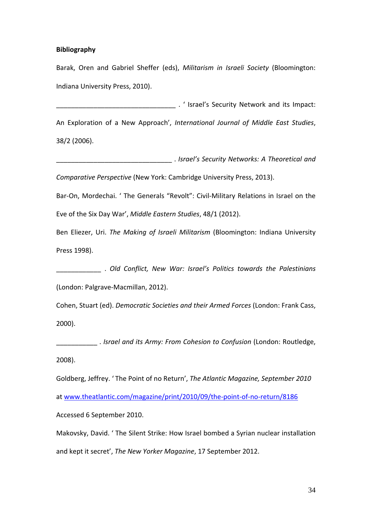### **Bibliography**

Barak, Oren and Gabriel Sheffer (eds), *Militarism in Israeli Society* (Bloomington: Indiana University Press, 2010).

\_\_\_\_\_\_\_\_\_\_\_\_\_\_\_\_\_\_\_\_\_\_\_\_\_\_\_\_\_\_\_\_ . ' Israel's Security Network and its Impact: An Exploration of a New Approach', *International Journal of Middle East Studies*, 38/2 (2006).

\_\_\_\_\_\_\_\_\_\_\_\_\_\_\_\_\_\_\_\_\_\_\_\_\_\_\_\_\_\_\_ . *Israel's Security Networks: A Theoretical and Comparative Perspective* (New York: Cambridge University Press, 2013).

Bar-On, Mordechai. ' The Generals "Revolt": Civil-Military Relations in Israel on the Eve of the Six Day War', *Middle Eastern Studies*, 48/1 (2012).

Ben Eliezer, Uri. *The Making of Israeli Militarism* (Bloomington: Indiana University Press 1998).

\_\_\_\_\_\_\_\_\_\_\_\_ . *Old Conflict, New War: Israel's Politics towards the Palestinians* (London: Palgrave-Macmillan, 2012).

Cohen, Stuart (ed). *Democratic Societies and their Armed Forces* (London: Frank Cass, 2000).

\_\_\_\_\_\_\_\_\_\_\_ . *Israel and its Army: From Cohesion to Confusion* (London: Routledge, 2008).

Goldberg, Jeffrey. ' The Point of no Return', *The Atlantic Magazine, September 2010*  at [www.theatlantic.com/magazine/print/2010/09/the-point-of-no-return/8186](http://www.theatlantic.com/magazine/print/2010/09/the-point-of-no-return/8186) Accessed 6 September 2010.

Makovsky, David. ' The Silent Strike: How Israel bombed a Syrian nuclear installation and kept it secret', *The New Yorker Magazine*, 17 September 2012.